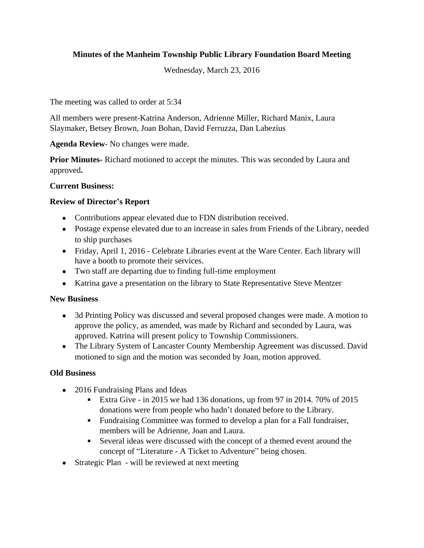# **Minutes of the Manheim Township Public Library Foundation Board Meeting**

Wednesday, March 23, 2016

The meeting was called to order at 5:34

All members were present-Katrina Anderson, Adrienne Miller, Richard Manix, Laura Slaymaker, Betsey Brown, Joan Bohan, David Ferruzza, Dan Labezius

**Agenda Review**- No changes were made.

**Prior Minutes-** Richard motioned to accept the minutes. This was seconded by Laura and approved**.**

### **Current Business:**

### **Review of Director's Report**

- Contributions appear elevated due to FDN distribution received.
- Postage expense elevated due to an increase in sales from Friends of the Library, needed to ship purchases
- Friday, April 1, 2016 Celebrate Libraries event at the Ware Center. Each library will have a booth to promote their services.
- Two staff are departing due to finding full-time employment
- Katrina gave a presentation on the library to State Representative Steve Mentzer

#### **New Business**

- 3d Printing Policy was discussed and several proposed changes were made. A motion to approve the policy, as amended, was made by Richard and seconded by Laura, was approved. Katrina will present policy to Township Commissioners.
- The Library System of Lancaster County Membership Agreement was discussed. David motioned to sign and the motion was seconded by Joan, motion approved.

### **Old Business**

- 2016 Fundraising Plans and Ideas
	- Extra Give in 2015 we had 136 donations, up from 97 in 2014. 70% of 2015 donations were from people who hadn't donated before to the Library.
	- Fundraising Committee was formed to develop a plan for a Fall fundraiser, members will be Adrienne, Joan and Laura.
	- Several ideas were discussed with the concept of a themed event around the concept of "Literature - A Ticket to Adventure" being chosen.
- Strategic Plan will be reviewed at next meeting